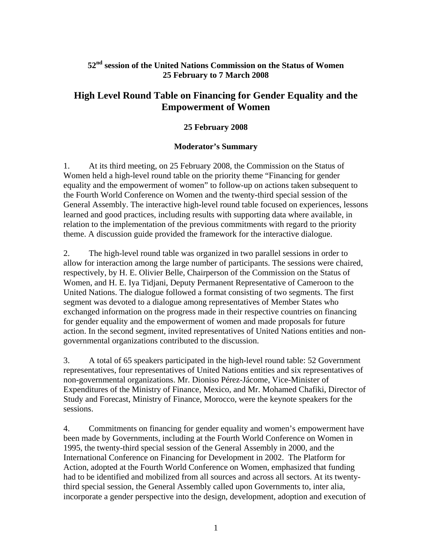## **52nd session of the United Nations Commission on the Status of Women 25 February to 7 March 2008**

## **High Level Round Table on Financing for Gender Equality and the Empowerment of Women**

## **25 February 2008**

## **Moderator's Summary**

1. At its third meeting, on 25 February 2008, the Commission on the Status of Women held a high-level round table on the priority theme "Financing for gender equality and the empowerment of women" to follow-up on actions taken subsequent to the Fourth World Conference on Women and the twenty-third special session of the General Assembly. The interactive high-level round table focused on experiences, lessons learned and good practices, including results with supporting data where available, in relation to the implementation of the previous commitments with regard to the priority theme. A discussion guide provided the framework for the interactive dialogue.

2. The high-level round table was organized in two parallel sessions in order to allow for interaction among the large number of participants. The sessions were chaired, respectively, by H. E. Olivier Belle, Chairperson of the Commission on the Status of Women, and H. E. Iya Tidjani, Deputy Permanent Representative of Cameroon to the United Nations. The dialogue followed a format consisting of two segments. The first segment was devoted to a dialogue among representatives of Member States who exchanged information on the progress made in their respective countries on financing for gender equality and the empowerment of women and made proposals for future action. In the second segment, invited representatives of United Nations entities and nongovernmental organizations contributed to the discussion.

3. A total of 65 speakers participated in the high-level round table: 52 Government representatives, four representatives of United Nations entities and six representatives of non-governmental organizations. Mr. Dioniso Pérez-Jácome, Vice-Minister of Expenditures of the Ministry of Finance, Mexico, and Mr. Mohamed Chafiki, Director of Study and Forecast, Ministry of Finance, Morocco, were the keynote speakers for the sessions.

4. Commitments on financing for gender equality and women's empowerment have been made by Governments, including at the Fourth World Conference on Women in 1995, the twenty-third special session of the General Assembly in 2000, and the International Conference on Financing for Development in 2002. The Platform for Action, adopted at the Fourth World Conference on Women, emphasized that funding had to be identified and mobilized from all sources and across all sectors. At its twentythird special session, the General Assembly called upon Governments to, inter alia, incorporate a gender perspective into the design, development, adoption and execution of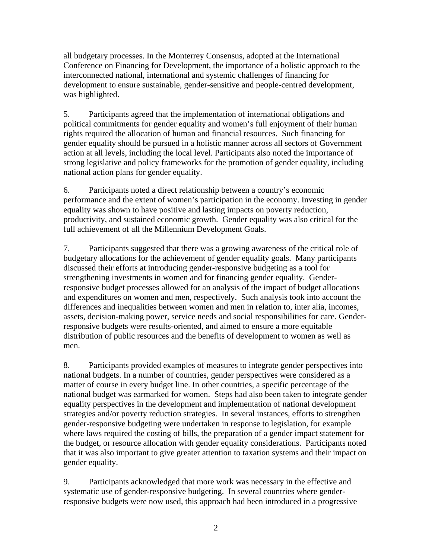all budgetary processes. In the Monterrey Consensus, adopted at the International Conference on Financing for Development, the importance of a holistic approach to the interconnected national, international and systemic challenges of financing for development to ensure sustainable, gender-sensitive and people-centred development, was highlighted.

5. Participants agreed that the implementation of international obligations and political commitments for gender equality and women's full enjoyment of their human rights required the allocation of human and financial resources. Such financing for gender equality should be pursued in a holistic manner across all sectors of Government action at all levels, including the local level. Participants also noted the importance of strong legislative and policy frameworks for the promotion of gender equality, including national action plans for gender equality.

6. Participants noted a direct relationship between a country's economic performance and the extent of women's participation in the economy. Investing in gender equality was shown to have positive and lasting impacts on poverty reduction, productivity, and sustained economic growth. Gender equality was also critical for the full achievement of all the Millennium Development Goals.

7. Participants suggested that there was a growing awareness of the critical role of budgetary allocations for the achievement of gender equality goals. Many participants discussed their efforts at introducing gender-responsive budgeting as a tool for strengthening investments in women and for financing gender equality. Genderresponsive budget processes allowed for an analysis of the impact of budget allocations and expenditures on women and men, respectively. Such analysis took into account the differences and inequalities between women and men in relation to, inter alia, incomes, assets, decision-making power, service needs and social responsibilities for care. Genderresponsive budgets were results-oriented, and aimed to ensure a more equitable distribution of public resources and the benefits of development to women as well as men.

8. Participants provided examples of measures to integrate gender perspectives into national budgets. In a number of countries, gender perspectives were considered as a matter of course in every budget line. In other countries, a specific percentage of the national budget was earmarked for women. Steps had also been taken to integrate gender equality perspectives in the development and implementation of national development strategies and/or poverty reduction strategies. In several instances, efforts to strengthen gender-responsive budgeting were undertaken in response to legislation, for example where laws required the costing of bills, the preparation of a gender impact statement for the budget, or resource allocation with gender equality considerations. Participants noted that it was also important to give greater attention to taxation systems and their impact on gender equality.

9. Participants acknowledged that more work was necessary in the effective and systematic use of gender-responsive budgeting. In several countries where genderresponsive budgets were now used, this approach had been introduced in a progressive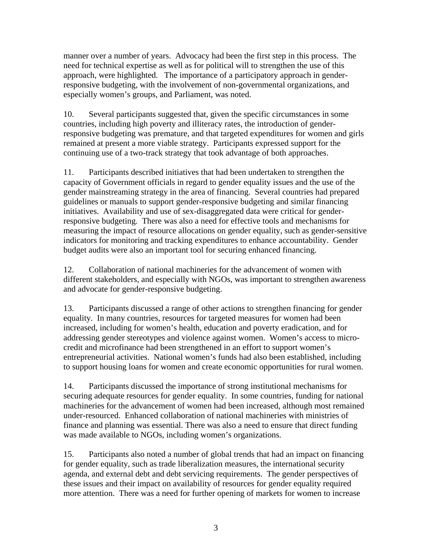manner over a number of years. Advocacy had been the first step in this process. The need for technical expertise as well as for political will to strengthen the use of this approach, were highlighted. The importance of a participatory approach in genderresponsive budgeting, with the involvement of non-governmental organizations, and especially women's groups, and Parliament, was noted.

10. Several participants suggested that, given the specific circumstances in some countries, including high poverty and illiteracy rates, the introduction of genderresponsive budgeting was premature, and that targeted expenditures for women and girls remained at present a more viable strategy. Participants expressed support for the continuing use of a two-track strategy that took advantage of both approaches.

11. Participants described initiatives that had been undertaken to strengthen the capacity of Government officials in regard to gender equality issues and the use of the gender mainstreaming strategy in the area of financing. Several countries had prepared guidelines or manuals to support gender-responsive budgeting and similar financing initiatives. Availability and use of sex-disaggregated data were critical for genderresponsive budgeting. There was also a need for effective tools and mechanisms for measuring the impact of resource allocations on gender equality, such as gender-sensitive indicators for monitoring and tracking expenditures to enhance accountability. Gender budget audits were also an important tool for securing enhanced financing.

12. Collaboration of national machineries for the advancement of women with different stakeholders, and especially with NGOs, was important to strengthen awareness and advocate for gender-responsive budgeting.

13. Participants discussed a range of other actions to strengthen financing for gender equality. In many countries, resources for targeted measures for women had been increased, including for women's health, education and poverty eradication, and for addressing gender stereotypes and violence against women. Women's access to microcredit and microfinance had been strengthened in an effort to support women's entrepreneurial activities. National women's funds had also been established, including to support housing loans for women and create economic opportunities for rural women.

14. Participants discussed the importance of strong institutional mechanisms for securing adequate resources for gender equality. In some countries, funding for national machineries for the advancement of women had been increased, although most remained under-resourced. Enhanced collaboration of national machineries with ministries of finance and planning was essential. There was also a need to ensure that direct funding was made available to NGOs, including women's organizations.

15. Participants also noted a number of global trends that had an impact on financing for gender equality, such as trade liberalization measures, the international security agenda, and external debt and debt servicing requirements. The gender perspectives of these issues and their impact on availability of resources for gender equality required more attention. There was a need for further opening of markets for women to increase